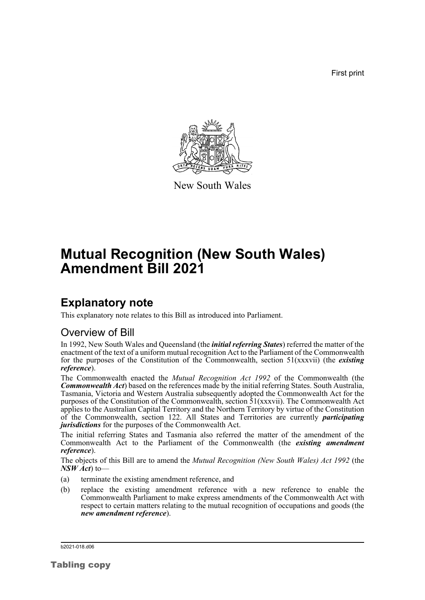First print



New South Wales

# **Mutual Recognition (New South Wales) Amendment Bill 2021**

### **Explanatory note**

This explanatory note relates to this Bill as introduced into Parliament.

#### Overview of Bill

In 1992, New South Wales and Queensland (the *initial referring States*) referred the matter of the enactment of the text of a uniform mutual recognition Act to the Parliament of the Commonwealth for the purposes of the Constitution of the Commonwealth, section 51(xxxvii) (the *existing reference*).

The Commonwealth enacted the *Mutual Recognition Act 1992* of the Commonwealth (the *Commonwealth Act*) based on the references made by the initial referring States. South Australia, Tasmania, Victoria and Western Australia subsequently adopted the Commonwealth Act for the purposes of the Constitution of the Commonwealth, section 51(xxxvii). The Commonwealth Act applies to the Australian Capital Territory and the Northern Territory by virtue of the Constitution of the Commonwealth, section 122. All States and Territories are currently *participating jurisdictions* for the purposes of the Commonwealth Act.

The initial referring States and Tasmania also referred the matter of the amendment of the Commonwealth Act to the Parliament of the Commonwealth (the *existing amendment reference*).

The objects of this Bill are to amend the *Mutual Recognition (New South Wales) Act 1992* (the *NSW Act*) to—

- (a) terminate the existing amendment reference, and
- (b) replace the existing amendment reference with a new reference to enable the Commonwealth Parliament to make express amendments of the Commonwealth Act with respect to certain matters relating to the mutual recognition of occupations and goods (the *new amendment reference*).

b2021-018.d06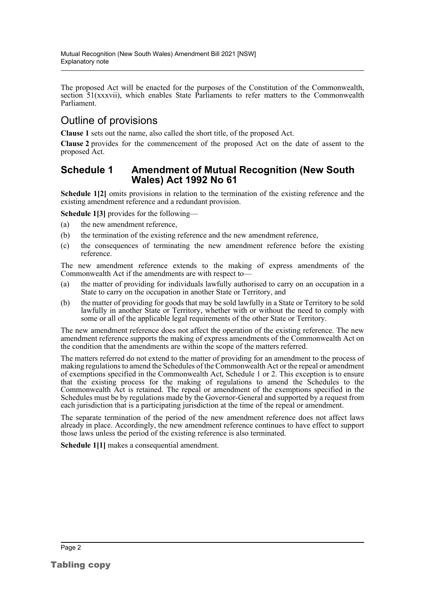The proposed Act will be enacted for the purposes of the Constitution of the Commonwealth, section 51(xxxvii), which enables State Parliaments to refer matters to the Commonwealth Parliament.

### Outline of provisions

**Clause 1** sets out the name, also called the short title, of the proposed Act.

**Clause 2** provides for the commencement of the proposed Act on the date of assent to the proposed Act.

#### **Schedule 1 Amendment of Mutual Recognition (New South Wales) Act 1992 No 61**

**Schedule 1[2]** omits provisions in relation to the termination of the existing reference and the existing amendment reference and a redundant provision.

**Schedule 1[3]** provides for the following—

- (a) the new amendment reference,
- (b) the termination of the existing reference and the new amendment reference,
- (c) the consequences of terminating the new amendment reference before the existing reference.

The new amendment reference extends to the making of express amendments of the Commonwealth Act if the amendments are with respect to—

- (a) the matter of providing for individuals lawfully authorised to carry on an occupation in a State to carry on the occupation in another State or Territory, and
- (b) the matter of providing for goods that may be sold lawfully in a State or Territory to be sold lawfully in another State or Territory, whether with or without the need to comply with some or all of the applicable legal requirements of the other State or Territory.

The new amendment reference does not affect the operation of the existing reference. The new amendment reference supports the making of express amendments of the Commonwealth Act on the condition that the amendments are within the scope of the matters referred.

The matters referred do not extend to the matter of providing for an amendment to the process of making regulations to amend the Schedules of the Commonwealth Act or the repeal or amendment of exemptions specified in the Commonwealth Act, Schedule 1 or 2. This exception is to ensure that the existing process for the making of regulations to amend the Schedules to the Commonwealth Act is retained. The repeal or amendment of the exemptions specified in the Schedules must be by regulations made by the Governor-General and supported by a request from each jurisdiction that is a participating jurisdiction at the time of the repeal or amendment.

The separate termination of the period of the new amendment reference does not affect laws already in place. Accordingly, the new amendment reference continues to have effect to support those laws unless the period of the existing reference is also terminated.

**Schedule 1[1]** makes a consequential amendment.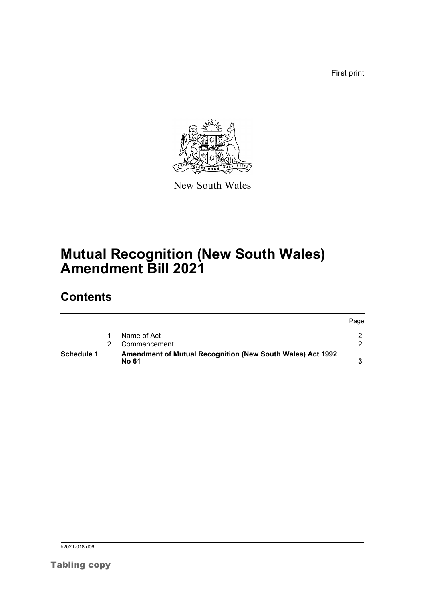First print



New South Wales

## **Mutual Recognition (New South Wales) Amendment Bill 2021**

## **Contents**

| Schedule 1 | <b>Amendment of Mutual Recognition (New South Wales) Act 1992</b><br>No 61 |      |
|------------|----------------------------------------------------------------------------|------|
|            | Commencement                                                               |      |
|            | Name of Act                                                                |      |
|            |                                                                            | Page |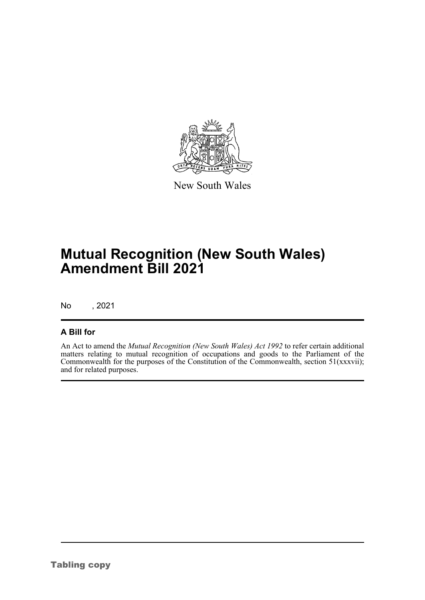

New South Wales

## **Mutual Recognition (New South Wales) Amendment Bill 2021**

No , 2021

#### **A Bill for**

An Act to amend the *Mutual Recognition (New South Wales) Act 1992* to refer certain additional matters relating to mutual recognition of occupations and goods to the Parliament of the Commonwealth for the purposes of the Constitution of the Commonwealth, section 51(xxxvii); and for related purposes.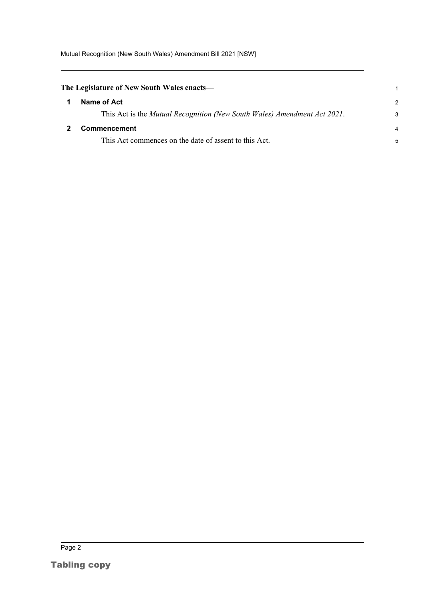Mutual Recognition (New South Wales) Amendment Bill 2021 [NSW]

<span id="page-4-1"></span><span id="page-4-0"></span>

| The Legislature of New South Wales enacts— |                                                                          |               |
|--------------------------------------------|--------------------------------------------------------------------------|---------------|
|                                            | Name of Act                                                              | $\mathcal{P}$ |
|                                            | This Act is the Mutual Recognition (New South Wales) Amendment Act 2021. | 3             |
|                                            | Commencement                                                             |               |
|                                            | This Act commences on the date of assent to this Act.                    | 5             |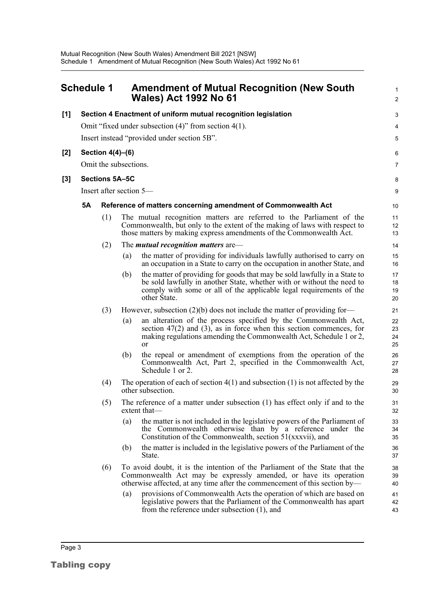<span id="page-5-0"></span>

|       | Schedule 1                                                 |                  |     | <b>Amendment of Mutual Recognition (New South</b><br><b>Wales) Act 1992 No 61</b>                                                                                                                                                          | $\mathbf{1}$<br>$\overline{2}$ |  |  |  |
|-------|------------------------------------------------------------|------------------|-----|--------------------------------------------------------------------------------------------------------------------------------------------------------------------------------------------------------------------------------------------|--------------------------------|--|--|--|
| [1]   |                                                            |                  |     | Section 4 Enactment of uniform mutual recognition legislation                                                                                                                                                                              | 3                              |  |  |  |
|       | Omit "fixed under subsection $(4)$ " from section $4(1)$ . |                  |     |                                                                                                                                                                                                                                            |                                |  |  |  |
|       |                                                            |                  |     | Insert instead "provided under section 5B".                                                                                                                                                                                                | 5                              |  |  |  |
| $[2]$ |                                                            | Section 4(4)-(6) |     |                                                                                                                                                                                                                                            | 6                              |  |  |  |
|       | Omit the subsections.                                      |                  |     |                                                                                                                                                                                                                                            |                                |  |  |  |
| [3]   |                                                            | Sections 5A-5C   |     |                                                                                                                                                                                                                                            | 8                              |  |  |  |
|       | Insert after section 5—                                    |                  |     |                                                                                                                                                                                                                                            |                                |  |  |  |
|       | <b>5A</b>                                                  |                  |     | Reference of matters concerning amendment of Commonwealth Act                                                                                                                                                                              | 10                             |  |  |  |
|       |                                                            | (1)              |     | The mutual recognition matters are referred to the Parliament of the<br>Commonwealth, but only to the extent of the making of laws with respect to<br>those matters by making express amendments of the Commonwealth Act.                  | 11<br>12<br>13                 |  |  |  |
|       |                                                            | (2)              |     | The <i>mutual recognition matters</i> are—                                                                                                                                                                                                 | 14                             |  |  |  |
|       |                                                            |                  | (a) | the matter of providing for individuals lawfully authorised to carry on<br>an occupation in a State to carry on the occupation in another State, and                                                                                       | 15<br>16                       |  |  |  |
|       |                                                            |                  | (b) | the matter of providing for goods that may be sold lawfully in a State to<br>be sold lawfully in another State, whether with or without the need to<br>comply with some or all of the applicable legal requirements of the<br>other State. | 17<br>18<br>19<br>20           |  |  |  |
|       |                                                            | (3)              |     | However, subsection $(2)(b)$ does not include the matter of providing for-                                                                                                                                                                 | 21                             |  |  |  |
|       |                                                            |                  | (a) | an alteration of the process specified by the Commonwealth Act,<br>section $47(2)$ and $(3)$ , as in force when this section commences, for<br>making regulations amending the Commonwealth Act, Schedule 1 or 2,<br><sub>or</sub>         | 22<br>23<br>24<br>25           |  |  |  |
|       |                                                            |                  | (b) | the repeal or amendment of exemptions from the operation of the<br>Commonwealth Act, Part 2, specified in the Commonwealth Act,<br>Schedule 1 or 2.                                                                                        | 26<br>27<br>28                 |  |  |  |
|       |                                                            | (4)              |     | The operation of each of section $4(1)$ and subsection $(1)$ is not affected by the<br>other subsection.                                                                                                                                   | 29<br>30                       |  |  |  |
|       |                                                            | (5)              |     | The reference of a matter under subsection (1) has effect only if and to the<br>extent that-                                                                                                                                               | 31<br>32                       |  |  |  |
|       |                                                            |                  | (a) | the matter is not included in the legislative powers of the Parliament of<br>the Commonwealth otherwise than by a reference under the<br>Constitution of the Commonwealth, section 51(xxxvii), and                                         | 33<br>34<br>35                 |  |  |  |
|       |                                                            |                  | (b) | the matter is included in the legislative powers of the Parliament of the<br>State.                                                                                                                                                        | 36<br>37                       |  |  |  |
|       |                                                            | (6)              |     | To avoid doubt, it is the intention of the Parliament of the State that the<br>Commonwealth Act may be expressly amended, or have its operation<br>otherwise affected, at any time after the commencement of this section by—              | 38<br>39<br>40                 |  |  |  |
|       |                                                            |                  | (a) | provisions of Commonwealth Acts the operation of which are based on<br>legislative powers that the Parliament of the Commonwealth has apart<br>from the reference under subsection $(1)$ , and                                             | 41<br>42<br>43                 |  |  |  |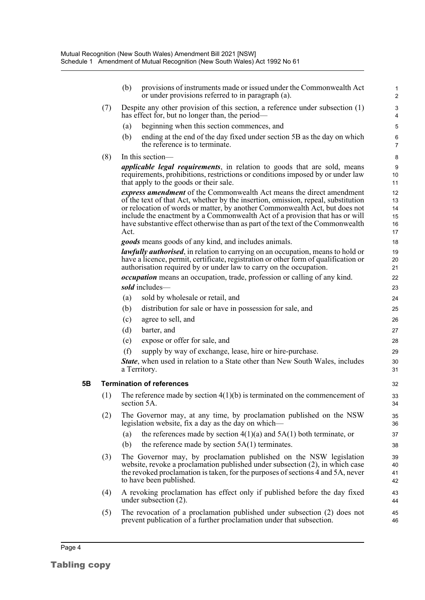|    |     | (b)                                                                                                                                                                                                                                                              | provisions of instruments made or issued under the Commonwealth Act<br>or under provisions referred to in paragraph (a).                                                                                                                                                                                                                                                                                  | 1<br>$\overline{2}$ |  |  |
|----|-----|------------------------------------------------------------------------------------------------------------------------------------------------------------------------------------------------------------------------------------------------------------------|-----------------------------------------------------------------------------------------------------------------------------------------------------------------------------------------------------------------------------------------------------------------------------------------------------------------------------------------------------------------------------------------------------------|---------------------|--|--|
|    | (7) |                                                                                                                                                                                                                                                                  | Despite any other provision of this section, a reference under subsection (1)<br>has effect for, but no longer than, the period—                                                                                                                                                                                                                                                                          |                     |  |  |
|    |     | (a)                                                                                                                                                                                                                                                              | beginning when this section commences, and                                                                                                                                                                                                                                                                                                                                                                | 5                   |  |  |
|    |     | (b)                                                                                                                                                                                                                                                              | ending at the end of the day fixed under section 5B as the day on which<br>the reference is to terminate.                                                                                                                                                                                                                                                                                                 | 6<br>7              |  |  |
|    | (8) | In this section—                                                                                                                                                                                                                                                 |                                                                                                                                                                                                                                                                                                                                                                                                           |                     |  |  |
|    |     | <i>applicable legal requirements</i> , in relation to goods that are sold, means<br>requirements, prohibitions, restrictions or conditions imposed by or under law<br>that apply to the goods or their sale.                                                     |                                                                                                                                                                                                                                                                                                                                                                                                           |                     |  |  |
|    |     | Act.                                                                                                                                                                                                                                                             | express amendment of the Commonwealth Act means the direct amendment<br>of the text of that Act, whether by the insertion, omission, repeal, substitution<br>or relocation of words or matter, by another Commonwealth Act, but does not<br>include the enactment by a Commonwealth Act of a provision that has or will<br>have substantive effect otherwise than as part of the text of the Commonwealth |                     |  |  |
|    |     |                                                                                                                                                                                                                                                                  | <i>goods</i> means goods of any kind, and includes animals.                                                                                                                                                                                                                                                                                                                                               | 18                  |  |  |
|    |     | <i>lawfully authorised</i> , in relation to carrying on an occupation, means to hold or<br>have a licence, permit, certificate, registration or other form of qualification or<br>authorisation required by or under law to carry on the occupation.             |                                                                                                                                                                                                                                                                                                                                                                                                           | 19<br>20<br>21      |  |  |
|    |     | <i>occupation</i> means an occupation, trade, profession or calling of any kind.                                                                                                                                                                                 |                                                                                                                                                                                                                                                                                                                                                                                                           |                     |  |  |
|    |     |                                                                                                                                                                                                                                                                  | sold includes-                                                                                                                                                                                                                                                                                                                                                                                            |                     |  |  |
|    |     | (a)                                                                                                                                                                                                                                                              | sold by wholesale or retail, and                                                                                                                                                                                                                                                                                                                                                                          | 24                  |  |  |
|    |     | (b)                                                                                                                                                                                                                                                              | distribution for sale or have in possession for sale, and                                                                                                                                                                                                                                                                                                                                                 | 25                  |  |  |
|    |     | (c)                                                                                                                                                                                                                                                              | agree to sell, and                                                                                                                                                                                                                                                                                                                                                                                        | 26                  |  |  |
|    |     | (d)                                                                                                                                                                                                                                                              | barter, and                                                                                                                                                                                                                                                                                                                                                                                               | 27                  |  |  |
|    |     | (e)                                                                                                                                                                                                                                                              | expose or offer for sale, and                                                                                                                                                                                                                                                                                                                                                                             | 28                  |  |  |
|    |     | (f)                                                                                                                                                                                                                                                              | supply by way of exchange, lease, hire or hire-purchase.                                                                                                                                                                                                                                                                                                                                                  | 29                  |  |  |
|    |     |                                                                                                                                                                                                                                                                  | <b>State</b> , when used in relation to a State other than New South Wales, includes<br>a Territory.                                                                                                                                                                                                                                                                                                      | 30<br>31            |  |  |
| 5Β |     |                                                                                                                                                                                                                                                                  | <b>Termination of references</b>                                                                                                                                                                                                                                                                                                                                                                          | 32                  |  |  |
|    | (1) | The reference made by section $4(1)(b)$ is terminated on the commencement of<br>section 5A.                                                                                                                                                                      |                                                                                                                                                                                                                                                                                                                                                                                                           |                     |  |  |
|    | (2) | The Governor may, at any time, by proclamation published on the NSW<br>legislation website, fix a day as the day on which—                                                                                                                                       |                                                                                                                                                                                                                                                                                                                                                                                                           | 35<br>36            |  |  |
|    |     | (a)                                                                                                                                                                                                                                                              | the references made by section $4(1)(a)$ and $5A(1)$ both terminate, or                                                                                                                                                                                                                                                                                                                                   | 37                  |  |  |
|    |     | (b)                                                                                                                                                                                                                                                              | the reference made by section $5A(1)$ terminates.                                                                                                                                                                                                                                                                                                                                                         | 38                  |  |  |
|    | (3) | The Governor may, by proclamation published on the NSW legislation<br>website, revoke a proclamation published under subsection (2), in which case<br>the revoked proclamation is taken, for the purposes of sections 4 and 5A, never<br>to have been published. |                                                                                                                                                                                                                                                                                                                                                                                                           |                     |  |  |
|    | (4) |                                                                                                                                                                                                                                                                  | A revoking proclamation has effect only if published before the day fixed<br>under subsection $(2)$ .                                                                                                                                                                                                                                                                                                     | 43<br>44            |  |  |
|    | (5) |                                                                                                                                                                                                                                                                  | The revocation of a proclamation published under subsection (2) does not<br>prevent publication of a further proclamation under that subsection.                                                                                                                                                                                                                                                          | 45<br>46            |  |  |